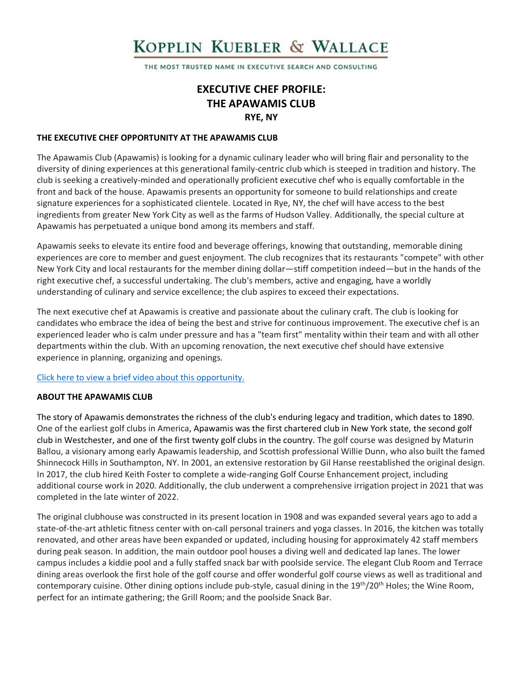# KOPPLIN KUEBLER & WALLACE

THE MOST TRUSTED NAME IN EXECUTIVE SEARCH AND CONSULTING

# **EXECUTIVE CHEF PROFILE: THE APAWAMIS CLUB RYE, NY**

#### **THE EXECUTIVE CHEF OPPORTUNITY AT THE APAWAMIS CLUB**

The Apawamis Club (Apawamis) is looking for a dynamic culinary leader who will bring flair and personality to the diversity of dining experiences at this generational family-centric club which is steeped in tradition and history. The club is seeking a creatively-minded and operationally proficient executive chef who is equally comfortable in the front and back of the house. Apawamis presents an opportunity for someone to build relationships and create signature experiences for a sophisticated clientele. Located in Rye, NY, the chef will have access to the best ingredients from greater New York City as well as the farms of Hudson Valley. Additionally, the special culture at Apawamis has perpetuated a unique bond among its members and staff.

Apawamis seeks to elevate its entire food and beverage offerings, knowing that outstanding, memorable dining experiences are core to member and guest enjoyment. The club recognizes that its restaurants "compete" with other New York City and local restaurants for the member dining dollar—stiff competition indeed—but in the hands of the right executive chef, a successful undertaking. The club's members, active and engaging, have a worldly understanding of culinary and service excellence; the club aspires to exceed their expectations.

The next executive chef at Apawamis is creative and passionate about the culinary craft. The club is looking for candidates who embrace the idea of being the best and strive for continuous improvement. The executive chef is an experienced leader who is calm under pressure and has a "team first" mentality within their team and with all other departments within the club. With an upcoming renovation, the next executive chef should have extensive experience in planning, organizing and openings.

#### [Click here to view a brief video about this opportunity.](https://www.youtube.com/watch?v=DDvlKBwQtDI)

#### **ABOUT THE APAWAMIS CLUB**

The story of Apawamis demonstrates the richness of the club's enduring legacy and tradition, which dates to 1890. One of the earliest golf clubs in America, Apawamis was the first chartered club in New York state, the second golf club in Westchester, and one of the first twenty golf clubs in the country. The golf course was designed by Maturin Ballou, a visionary among early Apawamis leadership, and Scottish professional Willie Dunn, who also built the famed Shinnecock Hills in Southampton, NY. In 2001, an extensive restoration by Gil Hanse reestablished the original design. In 2017, the club hired Keith Foster to complete a wide-ranging Golf Course Enhancement project, including additional course work in 2020. Additionally, the club underwent a comprehensive irrigation project in 2021 that was completed in the late winter of 2022.

The original clubhouse was constructed in its present location in 1908 and was expanded several years ago to add a state-of-the-art athletic fitness center with on-call personal trainers and yoga classes. In 2016, the kitchen was totally renovated, and other areas have been expanded or updated, including housing for approximately 42 staff members during peak season. In addition, the main outdoor pool houses a diving well and dedicated lap lanes. The lower campus includes a kiddie pool and a fully staffed snack bar with poolside service. The elegant Club Room and Terrace dining areas overlook the first hole of the golf course and offer wonderful golf course views as well as traditional and contemporary cuisine. Other dining options include pub-style, casual dining in the 19<sup>th</sup>/20<sup>th</sup> Holes; the Wine Room, perfect for an intimate gathering; the Grill Room; and the poolside Snack Bar.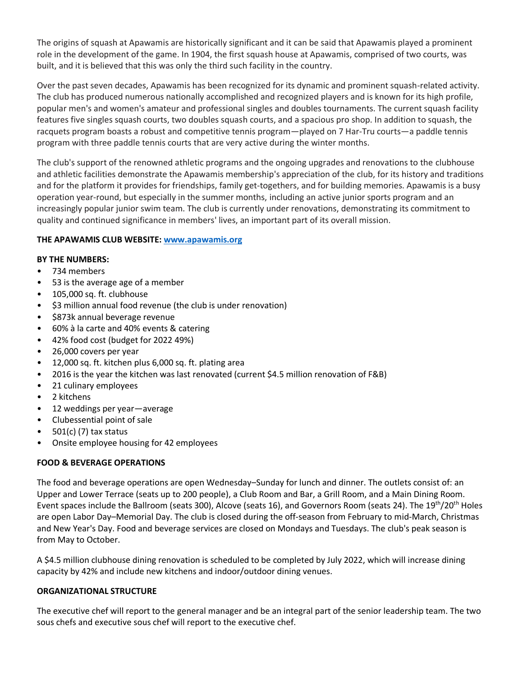The origins of squash at Apawamis are historically significant and it can be said that Apawamis played a prominent role in the development of the game. In 1904, the first squash house at Apawamis, comprised of two courts, was built, and it is believed that this was only the third such facility in the country.

Over the past seven decades, Apawamis has been recognized for its dynamic and prominent squash-related activity. The club has produced numerous nationally accomplished and recognized players and is known for its high profile, popular men's and women's amateur and professional singles and doubles tournaments. The current squash facility features five singles squash courts, two doubles squash courts, and a spacious pro shop. In addition to squash, the racquets program boasts a robust and competitive tennis program—played on 7 Har-Tru courts—a paddle tennis program with three paddle tennis courts that are very active during the winter months.

The club's support of the renowned athletic programs and the ongoing upgrades and renovations to the clubhouse and athletic facilities demonstrate the Apawamis membership's appreciation of the club, for its history and traditions and for the platform it provides for friendships, family get-togethers, and for building memories. Apawamis is a busy operation year-round, but especially in the summer months, including an active junior sports program and an increasingly popular junior swim team. The club is currently under renovations, demonstrating its commitment to quality and continued significance in members' lives, an important part of its overall mission.

# **THE APAWAMIS CLUB WEBSITE: [www.apawamis.org](http://www.apawamis.org/)**

### **BY THE NUMBERS:**

- 734 members
- 53 is the average age of a member
- 105,000 sq. ft. clubhouse
- \$3 million annual food revenue (the club is under renovation)
- \$873k annual beverage revenue
- 60% à la carte and 40% events & catering
- 42% food cost (budget for 2022 49%)
- 26,000 covers per year
- 12,000 sq. ft. kitchen plus 6,000 sq. ft. plating area
- 2016 is the year the kitchen was last renovated (current \$4.5 million renovation of F&B)
- 21 culinary employees
- 2 kitchens
- 12 weddings per year—average
- Clubessential point of sale
- 501(c) (7) tax status
- Onsite employee housing for 42 employees

#### **FOOD & BEVERAGE OPERATIONS**

The food and beverage operations are open Wednesday–Sunday for lunch and dinner. The outlets consist of: an Upper and Lower Terrace (seats up to 200 people), a Club Room and Bar, a Grill Room, and a Main Dining Room. Event spaces include the Ballroom (seats 300), Alcove (seats 16), and Governors Room (seats 24). The 19th/20th Holes are open Labor Day–Memorial Day. The club is closed during the off-season from February to mid-March, Christmas and New Year's Day. Food and beverage services are closed on Mondays and Tuesdays. The club's peak season is from May to October.

A \$4.5 million clubhouse dining renovation is scheduled to be completed by July 2022, which will increase dining capacity by 42% and include new kitchens and indoor/outdoor dining venues.

#### **ORGANIZATIONAL STRUCTURE**

The executive chef will report to the general manager and be an integral part of the senior leadership team. The two sous chefs and executive sous chef will report to the executive chef.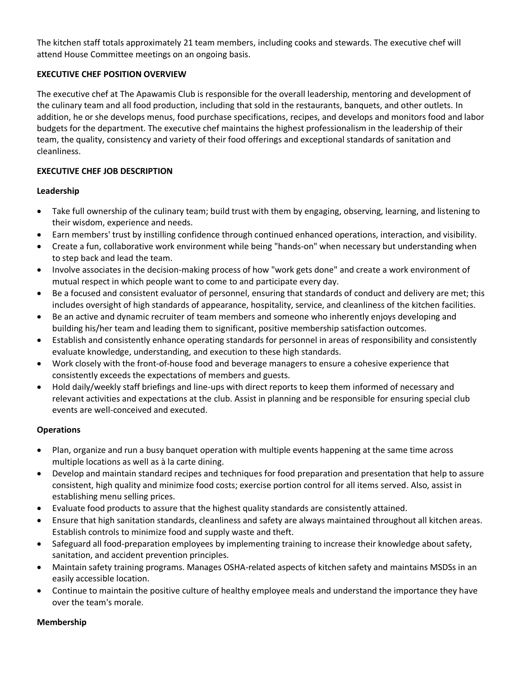The kitchen staff totals approximately 21 team members, including cooks and stewards. The executive chef will attend House Committee meetings on an ongoing basis.

# **EXECUTIVE CHEF POSITION OVERVIEW**

The executive chef at The Apawamis Club is responsible for the overall leadership, mentoring and development of the culinary team and all food production, including that sold in the restaurants, banquets, and other outlets. In addition, he or she develops menus, food purchase specifications, recipes, and develops and monitors food and labor budgets for the department. The executive chef maintains the highest professionalism in the leadership of their team, the quality, consistency and variety of their food offerings and exceptional standards of sanitation and cleanliness.

### **EXECUTIVE CHEF JOB DESCRIPTION**

#### **Leadership**

- Take full ownership of the culinary team; build trust with them by engaging, observing, learning, and listening to their wisdom, experience and needs.
- Earn members' trust by instilling confidence through continued enhanced operations, interaction, and visibility.
- Create a fun, collaborative work environment while being "hands-on" when necessary but understanding when to step back and lead the team.
- Involve associates in the decision-making process of how "work gets done" and create a work environment of mutual respect in which people want to come to and participate every day.
- Be a focused and consistent evaluator of personnel, ensuring that standards of conduct and delivery are met; this includes oversight of high standards of appearance, hospitality, service, and cleanliness of the kitchen facilities.
- Be an active and dynamic recruiter of team members and someone who inherently enjoys developing and building his/her team and leading them to significant, positive membership satisfaction outcomes.
- Establish and consistently enhance operating standards for personnel in areas of responsibility and consistently evaluate knowledge, understanding, and execution to these high standards.
- Work closely with the front-of-house food and beverage managers to ensure a cohesive experience that consistently exceeds the expectations of members and guests.
- Hold daily/weekly staff briefings and line-ups with direct reports to keep them informed of necessary and relevant activities and expectations at the club. Assist in planning and be responsible for ensuring special club events are well-conceived and executed.

# **Operations**

- Plan, organize and run a busy banquet operation with multiple events happening at the same time across multiple locations as well as à la carte dining.
- Develop and maintain standard recipes and techniques for food preparation and presentation that help to assure consistent, high quality and minimize food costs; exercise portion control for all items served. Also, assist in establishing menu selling prices.
- Evaluate food products to assure that the highest quality standards are consistently attained.
- Ensure that high sanitation standards, cleanliness and safety are always maintained throughout all kitchen areas. Establish controls to minimize food and supply waste and theft.
- Safeguard all food-preparation employees by implementing training to increase their knowledge about safety, sanitation, and accident prevention principles.
- Maintain safety training programs. Manages OSHA-related aspects of kitchen safety and maintains MSDSs in an easily accessible location.
- Continue to maintain the positive culture of healthy employee meals and understand the importance they have over the team's morale.

#### **Membership**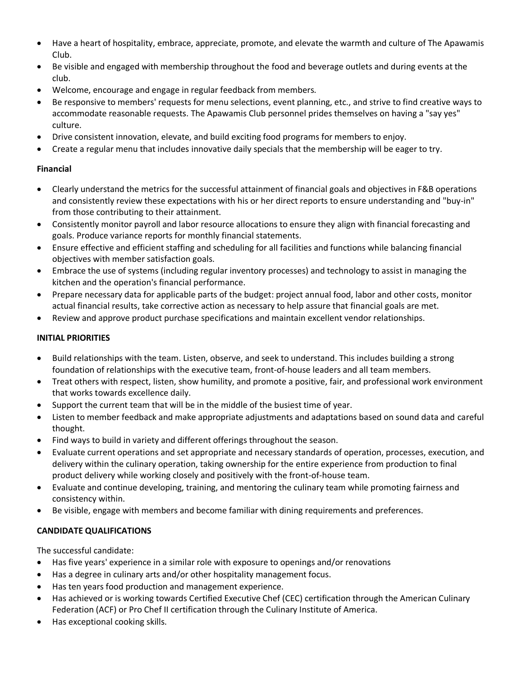- Have a heart of hospitality, embrace, appreciate, promote, and elevate the warmth and culture of The Apawamis Club.
- Be visible and engaged with membership throughout the food and beverage outlets and during events at the club.
- Welcome, encourage and engage in regular feedback from members.
- Be responsive to members' requests for menu selections, event planning, etc., and strive to find creative ways to accommodate reasonable requests. The Apawamis Club personnel prides themselves on having a "say yes" culture.
- Drive consistent innovation, elevate, and build exciting food programs for members to enjoy.
- Create a regular menu that includes innovative daily specials that the membership will be eager to try.

# **Financial**

- Clearly understand the metrics for the successful attainment of financial goals and objectives in F&B operations and consistently review these expectations with his or her direct reports to ensure understanding and "buy-in" from those contributing to their attainment.
- Consistently monitor payroll and labor resource allocations to ensure they align with financial forecasting and goals. Produce variance reports for monthly financial statements.
- Ensure effective and efficient staffing and scheduling for all facilities and functions while balancing financial objectives with member satisfaction goals.
- Embrace the use of systems (including regular inventory processes) and technology to assist in managing the kitchen and the operation's financial performance.
- Prepare necessary data for applicable parts of the budget: project annual food, labor and other costs, monitor actual financial results, take corrective action as necessary to help assure that financial goals are met.
- Review and approve product purchase specifications and maintain excellent vendor relationships.

# **INITIAL PRIORITIES**

- Build relationships with the team. Listen, observe, and seek to understand. This includes building a strong foundation of relationships with the executive team, front-of-house leaders and all team members.
- Treat others with respect, listen, show humility, and promote a positive, fair, and professional work environment that works towards excellence daily.
- Support the current team that will be in the middle of the busiest time of year.
- Listen to member feedback and make appropriate adjustments and adaptations based on sound data and careful thought.
- Find ways to build in variety and different offerings throughout the season.
- Evaluate current operations and set appropriate and necessary standards of operation, processes, execution, and delivery within the culinary operation, taking ownership for the entire experience from production to final product delivery while working closely and positively with the front-of-house team.
- Evaluate and continue developing, training, and mentoring the culinary team while promoting fairness and consistency within.
- Be visible, engage with members and become familiar with dining requirements and preferences.

# **CANDIDATE QUALIFICATIONS**

The successful candidate:

- Has five years' experience in a similar role with exposure to openings and/or renovations
- Has a degree in culinary arts and/or other hospitality management focus.
- Has ten years food production and management experience.
- Has achieved or is working towards Certified Executive Chef (CEC) certification through the American Culinary Federation (ACF) or Pro Chef II certification through the Culinary Institute of America.
- Has exceptional cooking skills.